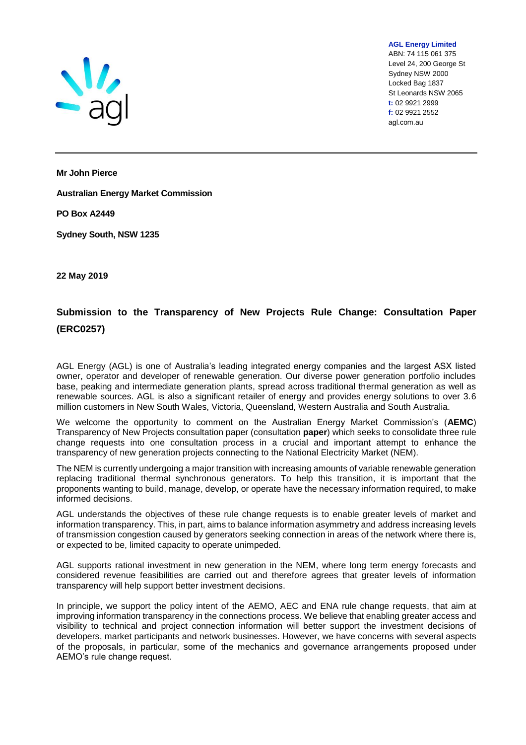

**AGL Energy Limited** ABN: 74 115 061 375 Level 24, 200 George St Sydney NSW 2000 Locked Bag 1837 St Leonards NSW 2065 **t:** 02 9921 2999 **f:** 02 9921 2552 agl.com.au

**Mr John Pierce** 

**Australian Energy Market Commission** 

**PO Box A2449** 

**Sydney South, NSW 1235**

**22 May 2019**

# **Submission to the Transparency of New Projects Rule Change: Consultation Paper (ERC0257)**

AGL Energy (AGL) is one of Australia's leading integrated energy companies and the largest ASX listed owner, operator and developer of renewable generation. Our diverse power generation portfolio includes base, peaking and intermediate generation plants, spread across traditional thermal generation as well as renewable sources. AGL is also a significant retailer of energy and provides energy solutions to over 3.6 million customers in New South Wales, Victoria, Queensland, Western Australia and South Australia.

We welcome the opportunity to comment on the Australian Energy Market Commission's (**AEMC**) Transparency of New Projects consultation paper (consultation **paper**) which seeks to consolidate three rule change requests into one consultation process in a crucial and important attempt to enhance the transparency of new generation projects connecting to the National Electricity Market (NEM).

The NEM is currently undergoing a major transition with increasing amounts of variable renewable generation replacing traditional thermal synchronous generators. To help this transition, it is important that the proponents wanting to build, manage, develop, or operate have the necessary information required, to make informed decisions.

AGL understands the objectives of these rule change requests is to enable greater levels of market and information transparency. This, in part, aims to balance information asymmetry and address increasing levels of transmission congestion caused by generators seeking connection in areas of the network where there is, or expected to be, limited capacity to operate unimpeded.

AGL supports rational investment in new generation in the NEM, where long term energy forecasts and considered revenue feasibilities are carried out and therefore agrees that greater levels of information transparency will help support better investment decisions.

In principle, we support the policy intent of the AEMO, AEC and ENA rule change requests, that aim at improving information transparency in the connections process. We believe that enabling greater access and visibility to technical and project connection information will better support the investment decisions of developers, market participants and network businesses. However, we have concerns with several aspects of the proposals, in particular, some of the mechanics and governance arrangements proposed under AEMO's rule change request.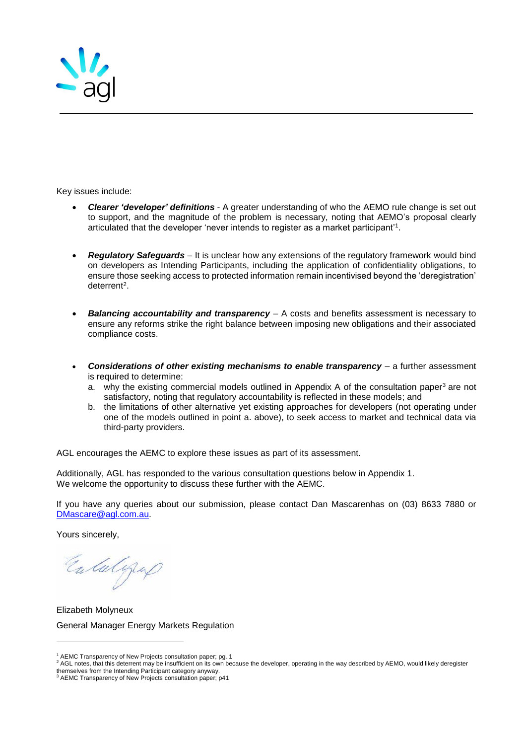

Key issues include:

- *Clearer 'developer' definitions* A greater understanding of who the AEMO rule change is set out to support, and the magnitude of the problem is necessary, noting that AEMO's proposal clearly articulated that the developer 'never intends to register as a market participant'<sup>1</sup> .
- *Regulatory Safeguards* It is unclear how any extensions of the regulatory framework would bind on developers as Intending Participants, including the application of confidentiality obligations, to ensure those seeking access to protected information remain incentivised beyond the 'deregistration' deterrent<sup>2</sup>.
- *Balancing accountability and transparency* A costs and benefits assessment is necessary to ensure any reforms strike the right balance between imposing new obligations and their associated compliance costs.
- *Considerations of other existing mechanisms to enable transparency* a further assessment is required to determine:
	- a. why the existing commercial models outlined in Appendix A of the consultation paper<sup>3</sup> are not satisfactory, noting that regulatory accountability is reflected in these models; and
	- b. the limitations of other alternative yet existing approaches for developers (not operating under one of the models outlined in point a. above), to seek access to market and technical data via third-party providers.

AGL encourages the AEMC to explore these issues as part of its assessment.

Additionally, AGL has responded to the various consultation questions below in Appendix 1. We welcome the opportunity to discuss these further with the AEMC.

If you have any queries about our submission, please contact Dan Mascarenhas on (03) 8633 7880 or [DMascare@agl.com.au.](mailto:DMascare@agl.com.au)

Yours sincerely,

l

Entalgap

Elizabeth Molyneux General Manager Energy Markets Regulation

<sup>1</sup> AEMC Transparency of New Projects consultation paper; pg. 1

<sup>2</sup> AGL notes, that this deterrent may be insufficient on its own because the developer, operating in the way described by AEMO, would likely deregister

themselves from the Intending Participant category anyway. <sup>3</sup> AEMC Transparency of New Projects consultation paper; p41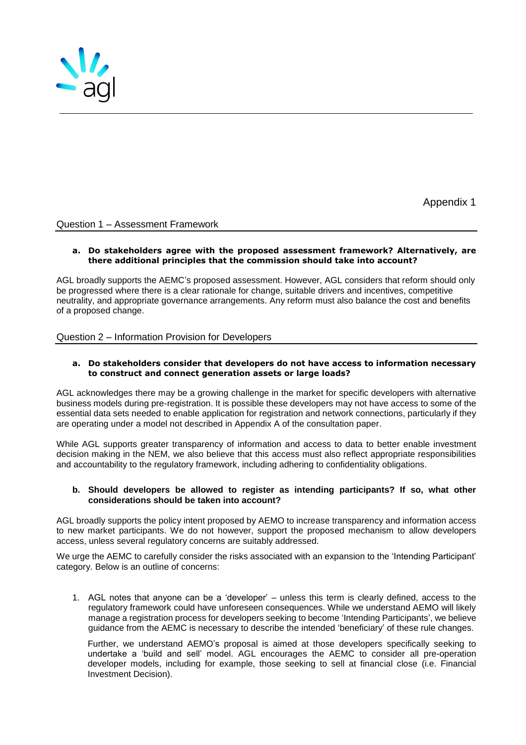

Appendix 1

# Question 1 – Assessment Framework

#### **a. Do stakeholders agree with the proposed assessment framework? Alternatively, are there additional principles that the commission should take into account?**

AGL broadly supports the AEMC's proposed assessment. However, AGL considers that reform should only be progressed where there is a clear rationale for change, suitable drivers and incentives, competitive neutrality, and appropriate governance arrangements. Any reform must also balance the cost and benefits of a proposed change.

# Question 2 – Information Provision for Developers

#### **a. Do stakeholders consider that developers do not have access to information necessary to construct and connect generation assets or large loads?**

AGL acknowledges there may be a growing challenge in the market for specific developers with alternative business models during pre-registration. It is possible these developers may not have access to some of the essential data sets needed to enable application for registration and network connections, particularly if they are operating under a model not described in Appendix A of the consultation paper.

While AGL supports greater transparency of information and access to data to better enable investment decision making in the NEM, we also believe that this access must also reflect appropriate responsibilities and accountability to the regulatory framework, including adhering to confidentiality obligations.

## **b. Should developers be allowed to register as intending participants? If so, what other considerations should be taken into account?**

AGL broadly supports the policy intent proposed by AEMO to increase transparency and information access to new market participants. We do not however, support the proposed mechanism to allow developers access, unless several regulatory concerns are suitably addressed.

We urge the AEMC to carefully consider the risks associated with an expansion to the 'Intending Participant' category. Below is an outline of concerns:

1. AGL notes that anyone can be a 'developer' – unless this term is clearly defined, access to the regulatory framework could have unforeseen consequences. While we understand AEMO will likely manage a registration process for developers seeking to become 'Intending Participants', we believe guidance from the AEMC is necessary to describe the intended 'beneficiary' of these rule changes.

Further, we understand AEMO's proposal is aimed at those developers specifically seeking to undertake a 'build and sell' model. AGL encourages the AEMC to consider all pre-operation developer models, including for example, those seeking to sell at financial close (i.e. Financial Investment Decision).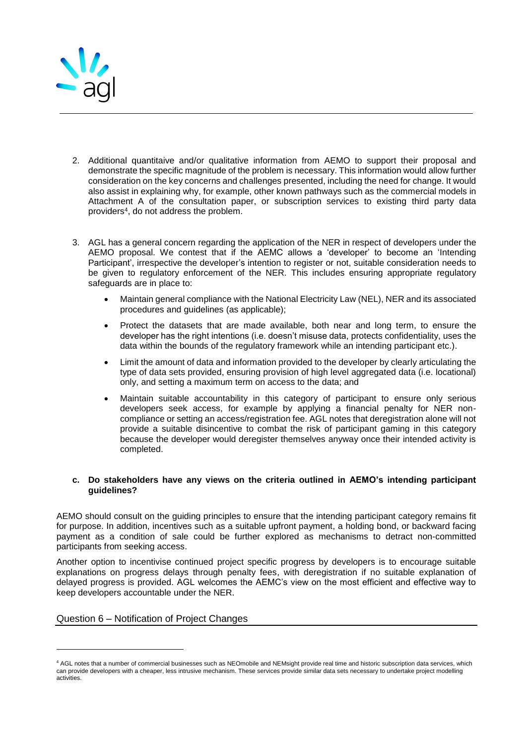

- 2. Additional quantitaive and/or qualitative information from AEMO to support their proposal and demonstrate the specific magnitude of the problem is necessary. This information would allow further consideration on the key concerns and challenges presented, including the need for change. It would also assist in explaining why, for example, other known pathways such as the commercial models in Attachment A of the consultation paper, or subscription services to existing third party data providers<sup>4</sup> , do not address the problem.
- 3. AGL has a general concern regarding the application of the NER in respect of developers under the AEMO proposal. We contest that if the AEMC allows a 'developer' to become an 'Intending Participant', irrespective the developer's intention to register or not, suitable consideration needs to be given to regulatory enforcement of the NER. This includes ensuring appropriate regulatory safeguards are in place to:
	- Maintain general compliance with the National Electricity Law (NEL), NER and its associated procedures and guidelines (as applicable);
	- Protect the datasets that are made available, both near and long term, to ensure the developer has the right intentions (i.e. doesn't misuse data, protects confidentiality, uses the data within the bounds of the regulatory framework while an intending participant etc.).
	- Limit the amount of data and information provided to the developer by clearly articulating the type of data sets provided, ensuring provision of high level aggregated data (i.e. locational) only, and setting a maximum term on access to the data; and
	- Maintain suitable accountability in this category of participant to ensure only serious developers seek access, for example by applying a financial penalty for NER noncompliance or setting an access/registration fee. AGL notes that deregistration alone will not provide a suitable disincentive to combat the risk of participant gaming in this category because the developer would deregister themselves anyway once their intended activity is completed.

## **c. Do stakeholders have any views on the criteria outlined in AEMO's intending participant guidelines?**

AEMO should consult on the guiding principles to ensure that the intending participant category remains fit for purpose. In addition, incentives such as a suitable upfront payment, a holding bond, or backward facing payment as a condition of sale could be further explored as mechanisms to detract non-committed participants from seeking access.

Another option to incentivise continued project specific progress by developers is to encourage suitable explanations on progress delays through penalty fees, with deregistration if no suitable explanation of delayed progress is provided. AGL welcomes the AEMC's view on the most efficient and effective way to keep developers accountable under the NER.

## Question 6 – Notification of Project Changes

l

<sup>4</sup> AGL notes that a number of commercial businesses such as NEOmobile and NEMsight provide real time and historic subscription data services, which can provide developers with a cheaper, less intrusive mechanism. These services provide similar data sets necessary to undertake project modelling activities.